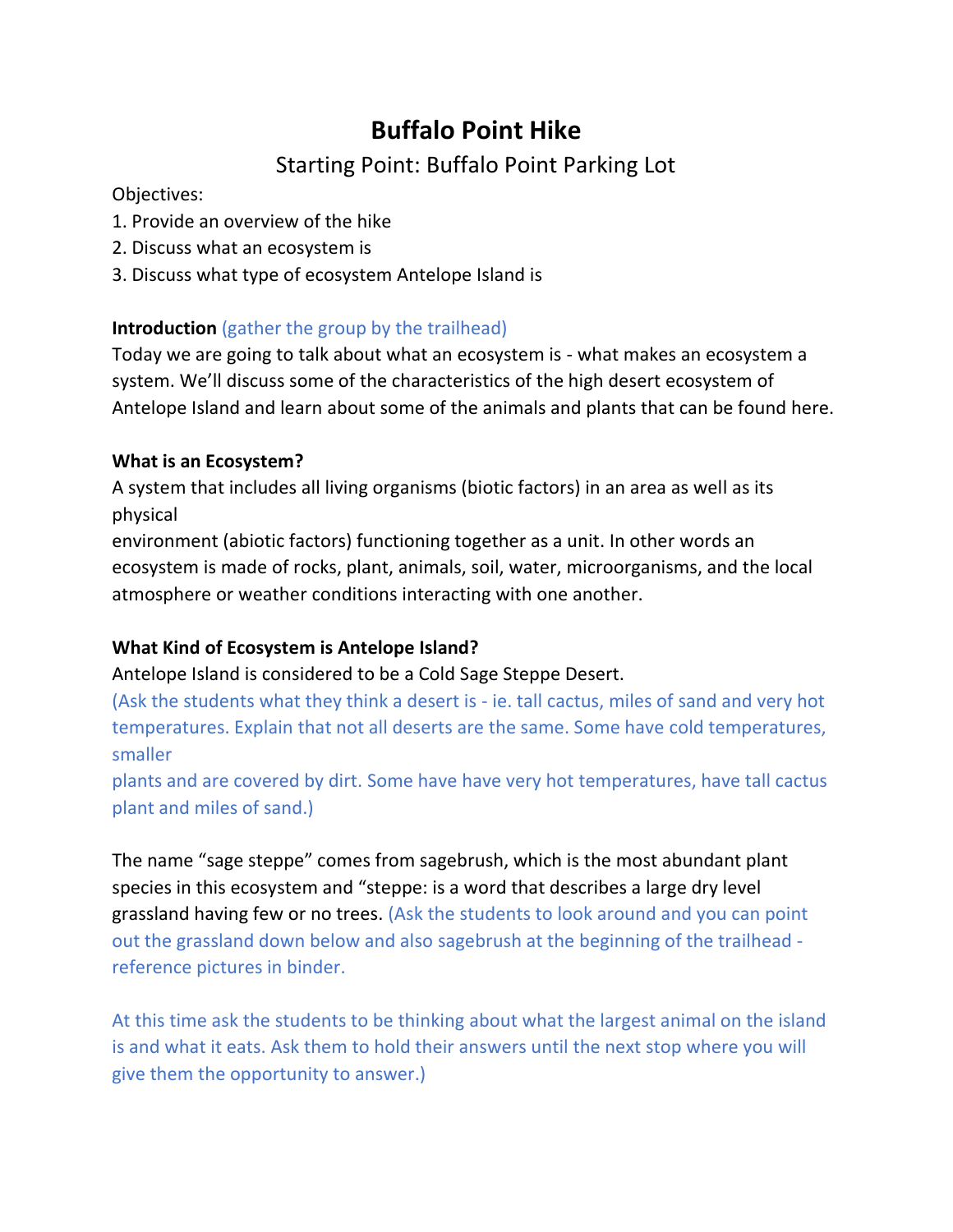## Starting Point: Buffalo Point Parking Lot

### Objectives:

- 1. Provide an overview of the hike
- 2. Discuss what an ecosystem is
- 3. Discuss what type of ecosystem Antelope Island is

## **Introduction** (gather the group by the trailhead)

Today we are going to talk about what an ecosystem is - what makes an ecosystem a system. We'll discuss some of the characteristics of the high desert ecosystem of Antelope Island and learn about some of the animals and plants that can be found here.

## **What is an Ecosystem?**

A system that includes all living organisms (biotic factors) in an area as well as its physical

environment (abiotic factors) functioning together as a unit. In other words an ecosystem is made of rocks, plant, animals, soil, water, microorganisms, and the local atmosphere or weather conditions interacting with one another.

### **What Kind of Ecosystem is Antelope Island?**

Antelope Island is considered to be a Cold Sage Steppe Desert.

(Ask the students what they think a desert is - ie. tall cactus, miles of sand and very hot temperatures. Explain that not all deserts are the same. Some have cold temperatures, smaller

plants and are covered by dirt. Some have have very hot temperatures, have tall cactus plant and miles of sand.)

The name "sage steppe" comes from sagebrush, which is the most abundant plant species in this ecosystem and "steppe: is a word that describes a large dry level grassland having few or no trees. (Ask the students to look around and you can point out the grassland down below and also sagebrush at the beginning of the trailhead reference pictures in binder.

At this time ask the students to be thinking about what the largest animal on the island is and what it eats. Ask them to hold their answers until the next stop where you will give them the opportunity to answer.)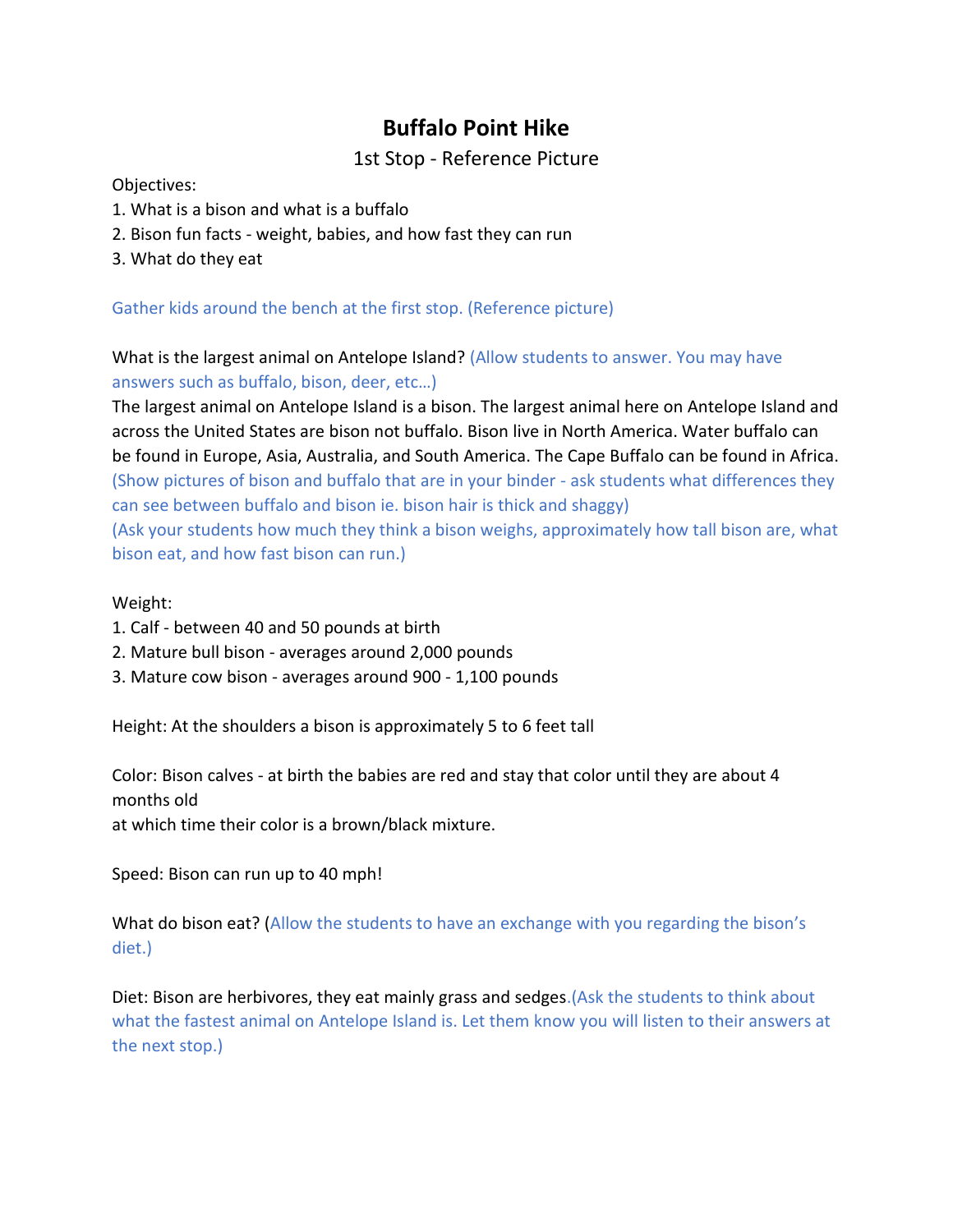### 1st Stop - Reference Picture

Objectives:

- 1. What is a bison and what is a buffalo
- 2. Bison fun facts weight, babies, and how fast they can run
- 3. What do they eat

Gather kids around the bench at the first stop. (Reference picture)

What is the largest animal on Antelope Island? (Allow students to answer. You may have answers such as buffalo, bison, deer, etc…)

The largest animal on Antelope Island is a bison. The largest animal here on Antelope Island and across the United States are bison not buffalo. Bison live in North America. Water buffalo can be found in Europe, Asia, Australia, and South America. The Cape Buffalo can be found in Africa. (Show pictures of bison and buffalo that are in your binder - ask students what differences they can see between buffalo and bison ie. bison hair is thick and shaggy) (Ask your students how much they think a bison weighs, approximately how tall bison are, what bison eat, and how fast bison can run.)

#### Weight:

- 1. Calf between 40 and 50 pounds at birth
- 2. Mature bull bison averages around 2,000 pounds
- 3. Mature cow bison averages around 900 1,100 pounds

Height: At the shoulders a bison is approximately 5 to 6 feet tall

Color: Bison calves - at birth the babies are red and stay that color until they are about 4 months old

at which time their color is a brown/black mixture.

Speed: Bison can run up to 40 mph!

What do bison eat? (Allow the students to have an exchange with you regarding the bison's diet.)

Diet: Bison are herbivores, they eat mainly grass and sedges.(Ask the students to think about what the fastest animal on Antelope Island is. Let them know you will listen to their answers at the next stop.)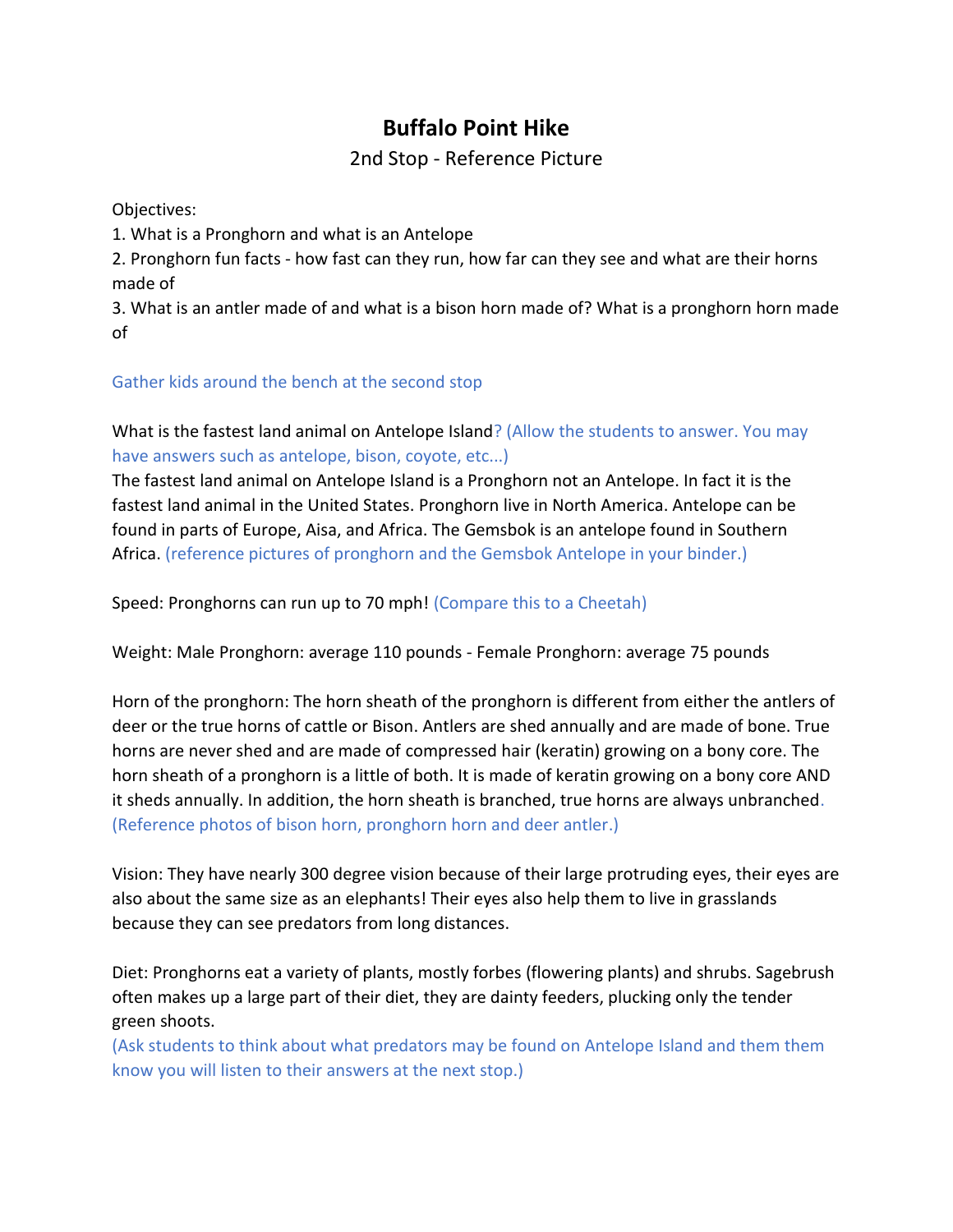## 2nd Stop - Reference Picture

Objectives:

1. What is a Pronghorn and what is an Antelope

2. Pronghorn fun facts - how fast can they run, how far can they see and what are their horns made of

3. What is an antler made of and what is a bison horn made of? What is a pronghorn horn made of

#### Gather kids around the bench at the second stop

What is the fastest land animal on Antelope Island? (Allow the students to answer. You may have answers such as antelope, bison, coyote, etc...)

The fastest land animal on Antelope Island is a Pronghorn not an Antelope. In fact it is the fastest land animal in the United States. Pronghorn live in North America. Antelope can be found in parts of Europe, Aisa, and Africa. The Gemsbok is an antelope found in Southern Africa. (reference pictures of pronghorn and the Gemsbok Antelope in your binder.)

Speed: Pronghorns can run up to 70 mph! (Compare this to a Cheetah)

Weight: Male Pronghorn: average 110 pounds - Female Pronghorn: average 75 pounds

Horn of the pronghorn: The horn sheath of the pronghorn is different from either the antlers of deer or the true horns of cattle or Bison. Antlers are shed annually and are made of bone. True horns are never shed and are made of compressed hair (keratin) growing on a bony core. The horn sheath of a pronghorn is a little of both. It is made of keratin growing on a bony core AND it sheds annually. In addition, the horn sheath is branched, true horns are always unbranched. (Reference photos of bison horn, pronghorn horn and deer antler.)

Vision: They have nearly 300 degree vision because of their large protruding eyes, their eyes are also about the same size as an elephants! Their eyes also help them to live in grasslands because they can see predators from long distances.

Diet: Pronghorns eat a variety of plants, mostly forbes (flowering plants) and shrubs. Sagebrush often makes up a large part of their diet, they are dainty feeders, plucking only the tender green shoots.

(Ask students to think about what predators may be found on Antelope Island and them them know you will listen to their answers at the next stop.)